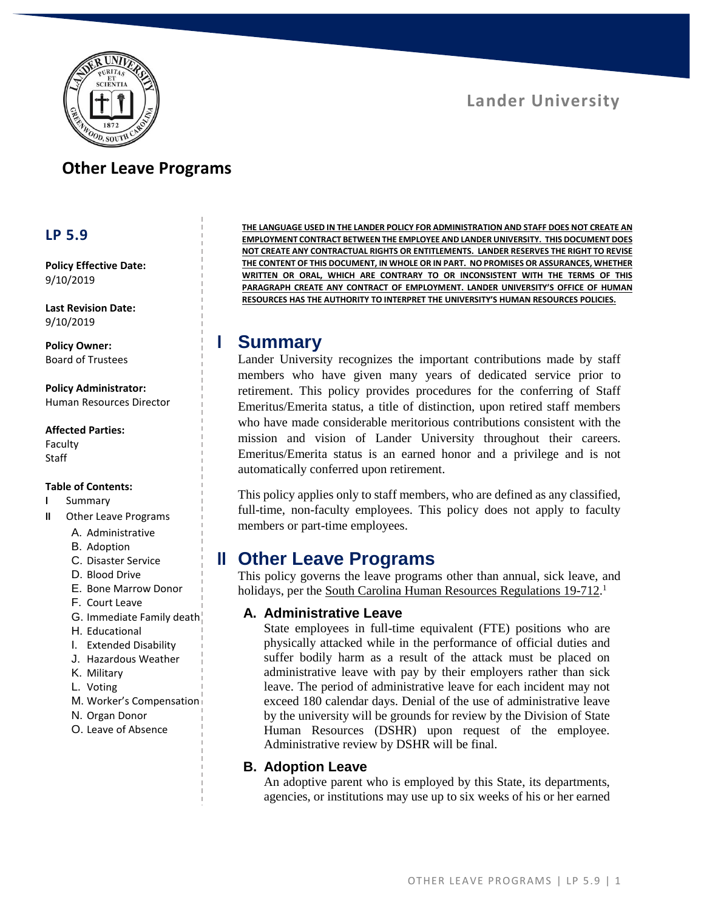

# **Other Leave Programs**

## **LP 5.9**

**Policy Effective Date:** 9/10/2019

**Last Revision Date:** 9/10/2019

**Policy Owner:** Board of Trustees

**Policy Administrator:** Human Resources Director

#### **Affected Parties:**

Faculty Staff

#### **Table of Contents:**

- **I** Summary
- **II** Other Leave Programs
	- A. Administrative
	- B. Adoption
	- C. Disaster Service
	- D. Blood Drive
	- E. Bone Marrow Donor
	- F. Court Leave
	- G. Immediate Family death
	- H. Educational
	- I. Extended Disability
	- J. Hazardous Weather
	- K. Military
	- L. Voting
	- M. Worker's Compensation
	- N. Organ Donor
	- O. Leave of Absence

**THE LANGUAGE USED IN THE LANDER POLICY FOR ADMINISTRATION AND STAFF DOES NOT CREATE AN EMPLOYMENT CONTRACT BETWEEN THE EMPLOYEE AND LANDER UNIVERSITY. THIS DOCUMENT DOES NOT CREATE ANY CONTRACTUAL RIGHTS OR ENTITLEMENTS. LANDER RESERVES THE RIGHT TO REVISE THE CONTENT OF THIS DOCUMENT, IN WHOLE OR IN PART. NO PROMISES OR ASSURANCES, WHETHER WRITTEN OR ORAL, WHICH ARE CONTRARY TO OR INCONSISTENT WITH THE TERMS OF THIS PARAGRAPH CREATE ANY CONTRACT OF EMPLOYMENT. LANDER UNIVERSITY'S OFFICE OF HUMAN RESOURCES HAS THE AUTHORITY TO INTERPRET THE UNIVERSITY'S HUMAN RESOURCES POLICIES.**

# **I Summary**

Lander University recognizes the important contributions made by staff members who have given many years of dedicated service prior to retirement. This policy provides procedures for the conferring of Staff Emeritus/Emerita status, a title of distinction, upon retired staff members who have made considerable meritorious contributions consistent with the mission and vision of Lander University throughout their careers. Emeritus/Emerita status is an earned honor and a privilege and is not automatically conferred upon retirement.

This policy applies only to staff members, who are defined as any classified, full-time, non-faculty employees. This policy does not apply to faculty members or part-time employees.

# **II Other Leave Programs**

This policy governs the leave programs other than annual, sick leave, and holidays, per the [South Carolina Human Resources Regulations 19-712.](https://admin.sc.gov/files/2016%20HR%20Regulations-Combined%20Website%20Version.pdf)<sup>1</sup>

### **A. Administrative Leave**

State employees in full-time equivalent (FTE) positions who are physically attacked while in the performance of official duties and suffer bodily harm as a result of the attack must be placed on administrative leave with pay by their employers rather than sick leave. The period of administrative leave for each incident may not exceed 180 calendar days. Denial of the use of administrative leave by the university will be grounds for review by the Division of State Human Resources (DSHR) upon request of the employee. Administrative review by DSHR will be final.

### **B. Adoption Leave**

An adoptive parent who is employed by this State, its departments, agencies, or institutions may use up to six weeks of his or her earned

# **Lander University**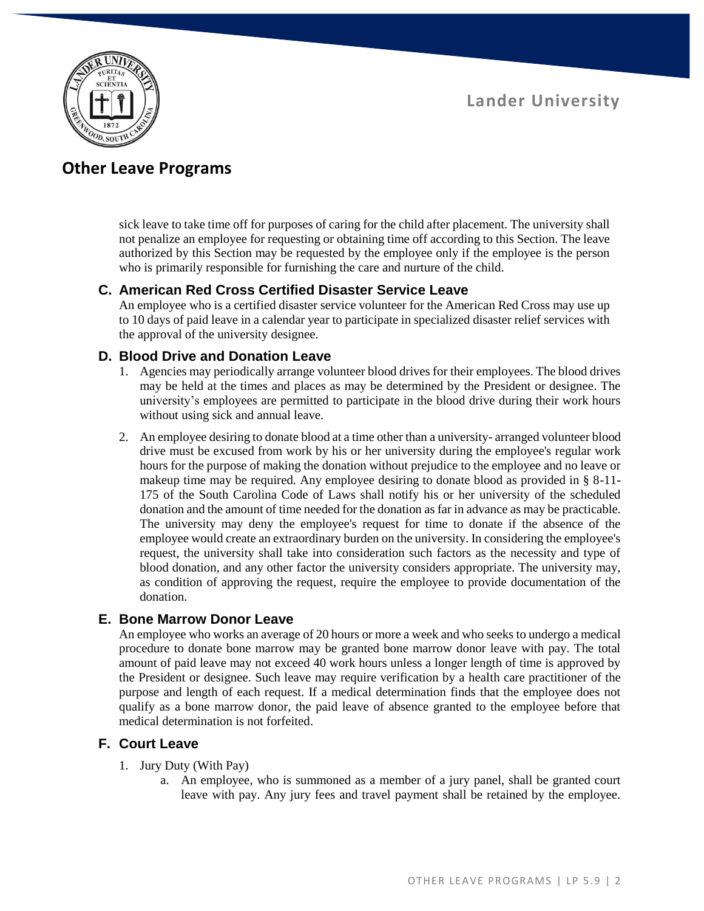

# **Other Leave Programs**

sick leave to take time off for purposes of caring for the child after placement. The university shall not penalize an employee for requesting or obtaining time off according to this Section. The leave authorized by this Section may be requested by the employee only if the employee is the person who is primarily responsible for furnishing the care and nurture of the child.

### **C. American Red Cross Certified Disaster Service Leave**

An employee who is a certified disaster service volunteer for the American Red Cross may use up to 10 days of paid leave in a calendar year to participate in specialized disaster relief services with the approval of the university designee.

### **D. Blood Drive and Donation Leave**

- 1. Agencies may periodically arrange volunteer blood drives for their employees. The blood drives may be held at the times and places as may be determined by the President or designee. The university's employees are permitted to participate in the blood drive during their work hours without using sick and annual leave.
- 2. An employee desiring to donate blood at a time other than a university- arranged volunteer blood drive must be excused from work by his or her university during the employee's regular work hours for the purpose of making the donation without prejudice to the employee and no leave or makeup time may be required. Any employee desiring to donate blood as provided in § 8-11- 175 of the South Carolina Code of Laws shall notify his or her university of the scheduled donation and the amount of time needed for the donation as far in advance as may be practicable. The university may deny the employee's request for time to donate if the absence of the employee would create an extraordinary burden on the university. In considering the employee's request, the university shall take into consideration such factors as the necessity and type of blood donation, and any other factor the university considers appropriate. The university may, as condition of approving the request, require the employee to provide documentation of the donation.

### **E. Bone Marrow Donor Leave**

An employee who works an average of 20 hours or more a week and who seeks to undergo a medical procedure to donate bone marrow may be granted bone marrow donor leave with pay. The total amount of paid leave may not exceed 40 work hours unless a longer length of time is approved by the President or designee. Such leave may require verification by a health care practitioner of the purpose and length of each request. If a medical determination finds that the employee does not qualify as a bone marrow donor, the paid leave of absence granted to the employee before that medical determination is not forfeited.

### **F. Court Leave**

- 1. Jury Duty (With Pay)
	- a. An employee, who is summoned as a member of a jury panel, shall be granted court leave with pay. Any jury fees and travel payment shall be retained by the employee.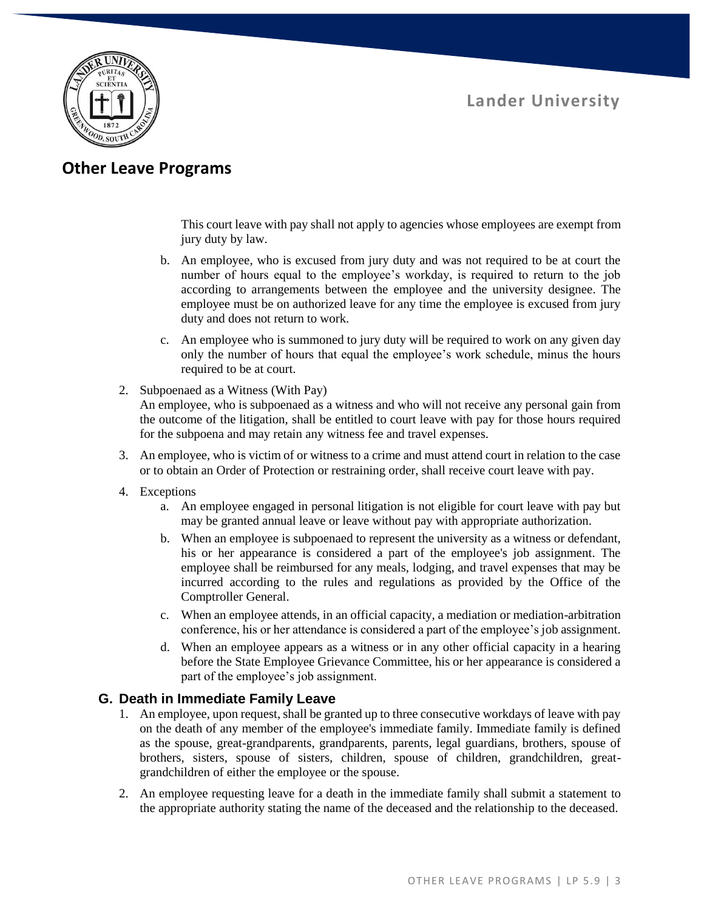

# **Other Leave Programs**

This court leave with pay shall not apply to agencies whose employees are exempt from jury duty by law.

- b. An employee, who is excused from jury duty and was not required to be at court the number of hours equal to the employee's workday, is required to return to the job according to arrangements between the employee and the university designee. The employee must be on authorized leave for any time the employee is excused from jury duty and does not return to work.
- c. An employee who is summoned to jury duty will be required to work on any given day only the number of hours that equal the employee's work schedule, minus the hours required to be at court.
- 2. Subpoenaed as a Witness (With Pay) An employee, who is subpoenaed as a witness and who will not receive any personal gain from the outcome of the litigation, shall be entitled to court leave with pay for those hours required for the subpoena and may retain any witness fee and travel expenses.
- 3. An employee, who is victim of or witness to a crime and must attend court in relation to the case or to obtain an Order of Protection or restraining order, shall receive court leave with pay.
- 4. Exceptions
	- a. An employee engaged in personal litigation is not eligible for court leave with pay but may be granted annual leave or leave without pay with appropriate authorization.
	- b. When an employee is subpoenaed to represent the university as a witness or defendant, his or her appearance is considered a part of the employee's job assignment. The employee shall be reimbursed for any meals, lodging, and travel expenses that may be incurred according to the rules and regulations as provided by the Office of the Comptroller General.
	- c. When an employee attends, in an official capacity, a mediation or mediation-arbitration conference, his or her attendance is considered a part of the employee's job assignment.
	- d. When an employee appears as a witness or in any other official capacity in a hearing before the State Employee Grievance Committee, his or her appearance is considered a part of the employee's job assignment.

## **G. Death in Immediate Family Leave**

- 1. An employee, upon request, shall be granted up to three consecutive workdays of leave with pay on the death of any member of the employee's immediate family. Immediate family is defined as the spouse, great-grandparents, grandparents, parents, legal guardians, brothers, spouse of brothers, sisters, spouse of sisters, children, spouse of children, grandchildren, greatgrandchildren of either the employee or the spouse.
- 2. An employee requesting leave for a death in the immediate family shall submit a statement to the appropriate authority stating the name of the deceased and the relationship to the deceased.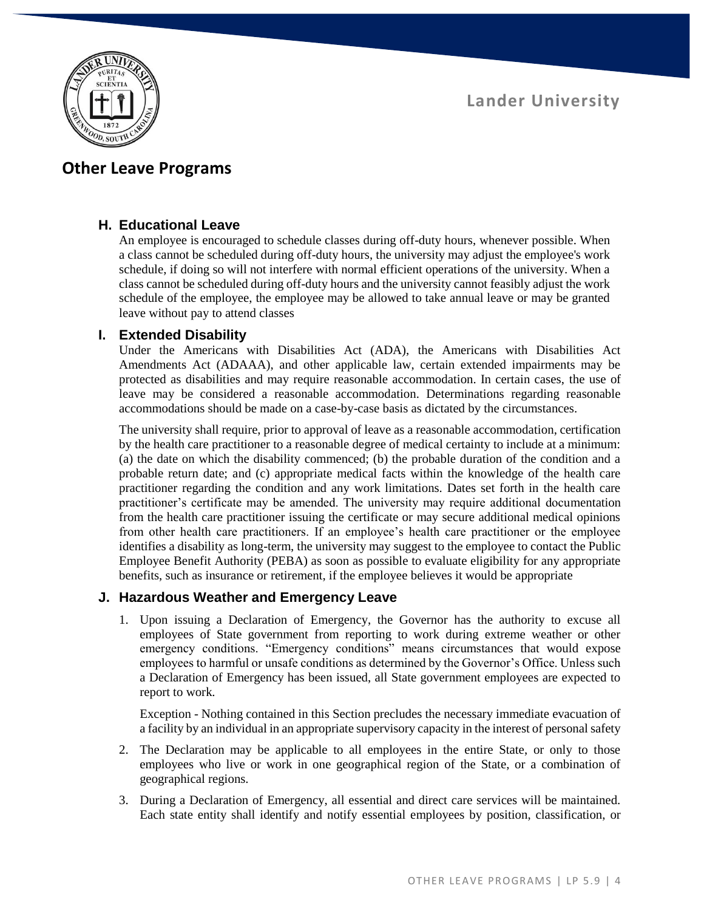

# **Other Leave Programs**

### **H. Educational Leave**

An employee is encouraged to schedule classes during off-duty hours, whenever possible. When a class cannot be scheduled during off-duty hours, the university may adjust the employee's work schedule, if doing so will not interfere with normal efficient operations of the university. When a class cannot be scheduled during off-duty hours and the university cannot feasibly adjust the work schedule of the employee, the employee may be allowed to take annual leave or may be granted leave without pay to attend classes

### **I. Extended Disability**

Under the Americans with Disabilities Act (ADA), the Americans with Disabilities Act Amendments Act (ADAAA), and other applicable law, certain extended impairments may be protected as disabilities and may require reasonable accommodation. In certain cases, the use of leave may be considered a reasonable accommodation. Determinations regarding reasonable accommodations should be made on a case-by-case basis as dictated by the circumstances.

The university shall require, prior to approval of leave as a reasonable accommodation, certification by the health care practitioner to a reasonable degree of medical certainty to include at a minimum: (a) the date on which the disability commenced; (b) the probable duration of the condition and a probable return date; and (c) appropriate medical facts within the knowledge of the health care practitioner regarding the condition and any work limitations. Dates set forth in the health care practitioner's certificate may be amended. The university may require additional documentation from the health care practitioner issuing the certificate or may secure additional medical opinions from other health care practitioners. If an employee's health care practitioner or the employee identifies a disability as long-term, the university may suggest to the employee to contact the Public Employee Benefit Authority (PEBA) as soon as possible to evaluate eligibility for any appropriate benefits, such as insurance or retirement, if the employee believes it would be appropriate

### **J. Hazardous Weather and Emergency Leave**

1. Upon issuing a Declaration of Emergency, the Governor has the authority to excuse all employees of State government from reporting to work during extreme weather or other emergency conditions. "Emergency conditions" means circumstances that would expose employees to harmful or unsafe conditions as determined by the Governor's Office. Unless such a Declaration of Emergency has been issued, all State government employees are expected to report to work.

Exception - Nothing contained in this Section precludes the necessary immediate evacuation of a facility by an individual in an appropriate supervisory capacity in the interest of personal safety

- 2. The Declaration may be applicable to all employees in the entire State, or only to those employees who live or work in one geographical region of the State, or a combination of geographical regions.
- 3. During a Declaration of Emergency, all essential and direct care services will be maintained. Each state entity shall identify and notify essential employees by position, classification, or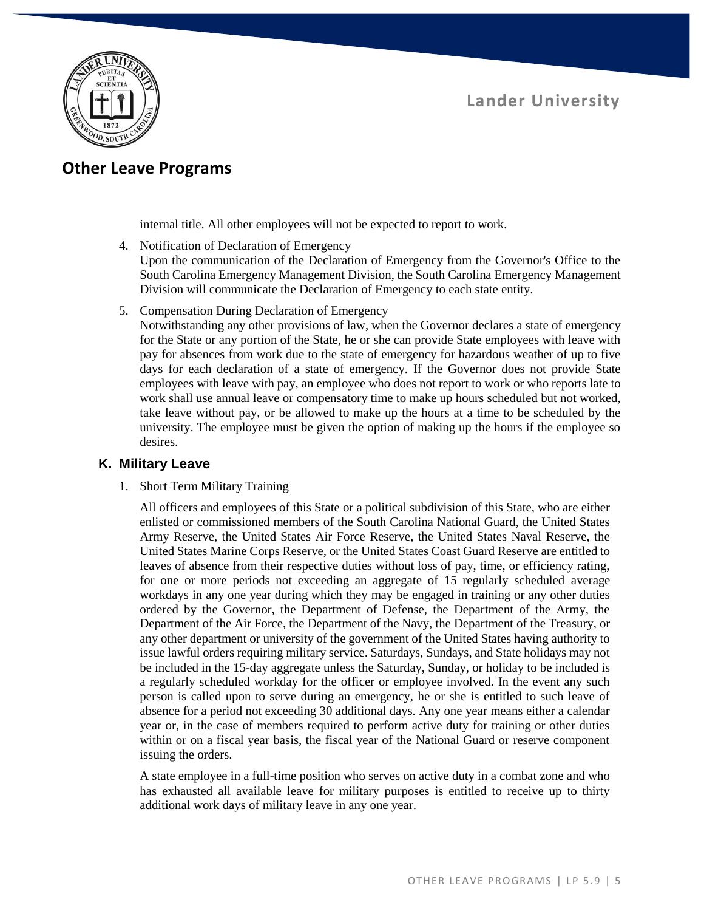

# **Other Leave Programs**

internal title. All other employees will not be expected to report to work.

4. Notification of Declaration of Emergency

Upon the communication of the Declaration of Emergency from the Governor's Office to the South Carolina Emergency Management Division, the South Carolina Emergency Management Division will communicate the Declaration of Emergency to each state entity.

5. Compensation During Declaration of Emergency

Notwithstanding any other provisions of law, when the Governor declares a state of emergency for the State or any portion of the State, he or she can provide State employees with leave with pay for absences from work due to the state of emergency for hazardous weather of up to five days for each declaration of a state of emergency. If the Governor does not provide State employees with leave with pay, an employee who does not report to work or who reports late to work shall use annual leave or compensatory time to make up hours scheduled but not worked, take leave without pay, or be allowed to make up the hours at a time to be scheduled by the university. The employee must be given the option of making up the hours if the employee so desires.

#### **K. Military Leave**

1. Short Term Military Training

All officers and employees of this State or a political subdivision of this State, who are either enlisted or commissioned members of the South Carolina National Guard, the United States Army Reserve, the United States Air Force Reserve, the United States Naval Reserve, the United States Marine Corps Reserve, or the United States Coast Guard Reserve are entitled to leaves of absence from their respective duties without loss of pay, time, or efficiency rating, for one or more periods not exceeding an aggregate of 15 regularly scheduled average workdays in any one year during which they may be engaged in training or any other duties ordered by the Governor, the Department of Defense, the Department of the Army, the Department of the Air Force, the Department of the Navy, the Department of the Treasury, or any other department or university of the government of the United States having authority to issue lawful orders requiring military service. Saturdays, Sundays, and State holidays may not be included in the 15-day aggregate unless the Saturday, Sunday, or holiday to be included is a regularly scheduled workday for the officer or employee involved. In the event any such person is called upon to serve during an emergency, he or she is entitled to such leave of absence for a period not exceeding 30 additional days. Any one year means either a calendar year or, in the case of members required to perform active duty for training or other duties within or on a fiscal year basis, the fiscal year of the National Guard or reserve component issuing the orders.

A state employee in a full-time position who serves on active duty in a combat zone and who has exhausted all available leave for military purposes is entitled to receive up to thirty additional work days of military leave in any one year.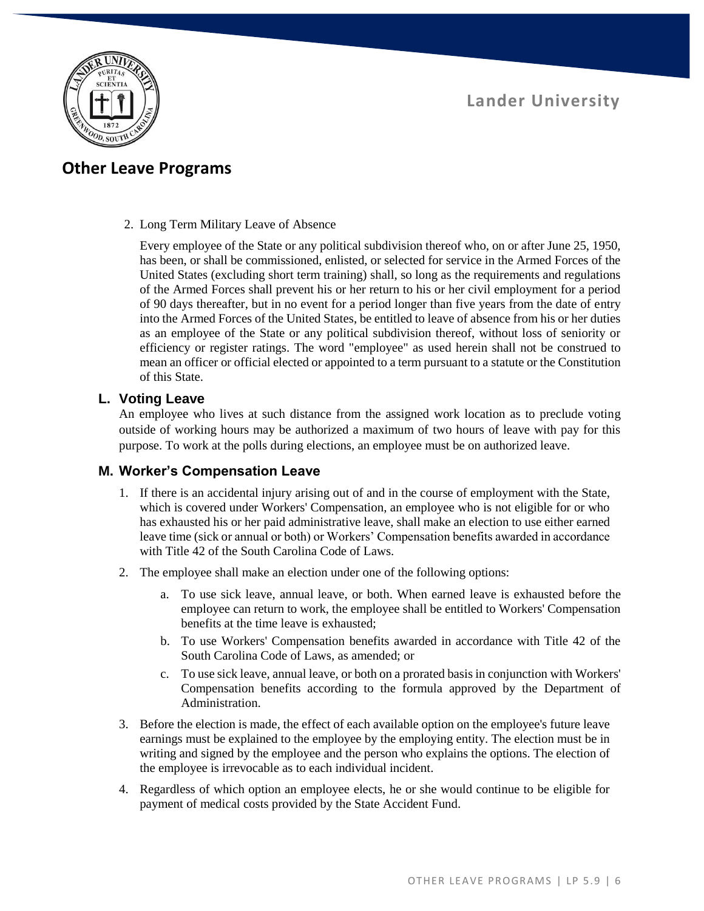

# **Other Leave Programs**

2. Long Term Military Leave of Absence

Every employee of the State or any political subdivision thereof who, on or after June 25, 1950, has been, or shall be commissioned, enlisted, or selected for service in the Armed Forces of the United States (excluding short term training) shall, so long as the requirements and regulations of the Armed Forces shall prevent his or her return to his or her civil employment for a period of 90 days thereafter, but in no event for a period longer than five years from the date of entry into the Armed Forces of the United States, be entitled to leave of absence from his or her duties as an employee of the State or any political subdivision thereof, without loss of seniority or efficiency or register ratings. The word "employee" as used herein shall not be construed to mean an officer or official elected or appointed to a term pursuant to a statute or the Constitution of this State.

#### **L. Voting Leave**

An employee who lives at such distance from the assigned work location as to preclude voting outside of working hours may be authorized a maximum of two hours of leave with pay for this purpose. To work at the polls during elections, an employee must be on authorized leave.

### **M. Worker's Compensation Leave**

- 1. If there is an accidental injury arising out of and in the course of employment with the State, which is covered under Workers' Compensation, an employee who is not eligible for or who has exhausted his or her paid administrative leave, shall make an election to use either earned leave time (sick or annual or both) or Workers' Compensation benefits awarded in accordance with Title 42 of the South Carolina Code of Laws.
- 2. The employee shall make an election under one of the following options:
	- a. To use sick leave, annual leave, or both. When earned leave is exhausted before the employee can return to work, the employee shall be entitled to Workers' Compensation benefits at the time leave is exhausted;
	- b. To use Workers' Compensation benefits awarded in accordance with Title 42 of the South Carolina Code of Laws, as amended; or
	- c. To use sick leave, annual leave, or both on a prorated basis in conjunction with Workers' Compensation benefits according to the formula approved by the Department of Administration.
- 3. Before the election is made, the effect of each available option on the employee's future leave earnings must be explained to the employee by the employing entity. The election must be in writing and signed by the employee and the person who explains the options. The election of the employee is irrevocable as to each individual incident.
- 4. Regardless of which option an employee elects, he or she would continue to be eligible for payment of medical costs provided by the State Accident Fund.